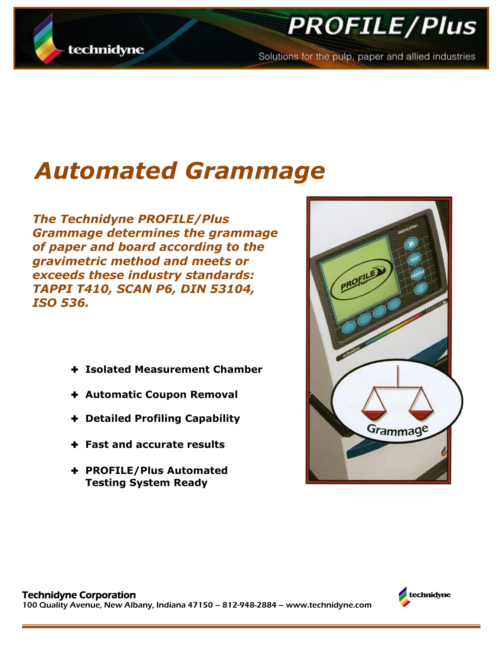

# **PROFILE/Plus**

Solutions for the pulp, paper and allied industries

# *Automated Grammage*

*The Technidyne PROFILE/Plus Grammage determines the grammage of paper and board according to the gravimetric method and meets or exceeds these industry standards: TAPPI T410, SCAN P6, DIN 53104, ISO 536.*

- **Isolated Measurement Chamber**
- **Automatic Coupon Removal**
- **Detailed Profiling Capability**
- **Fast and accurate results**
- **PROFILE/Plus Automated Testing System Ready**



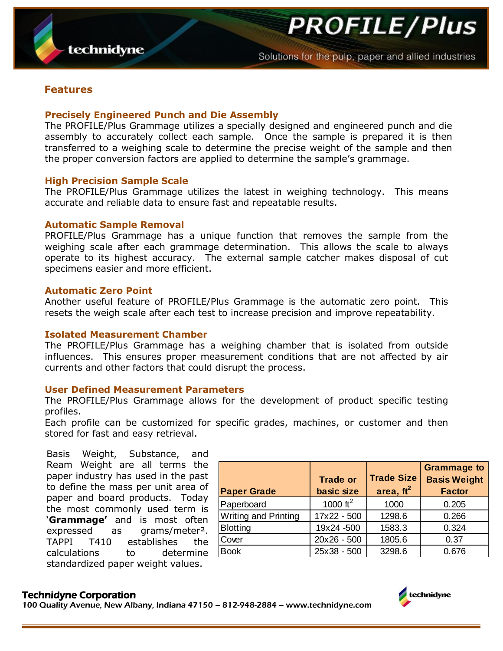**PROFILE/Plus** 

### **Features**

#### **Precisely Engineered Punch and Die Assembly**

The PROFILE/Plus Grammage utilizes a specially designed and engineered punch and die assembly to accurately collect each sample. Once the sample is prepared it is then transferred to a weighing scale to determine the precise weight of the sample and then the proper conversion factors are applied to determine the sample's grammage.

#### **High Precision Sample Scale**

The PROFILE/Plus Grammage utilizes the latest in weighing technology. This means accurate and reliable data to ensure fast and repeatable results.

#### **Automatic Sample Removal**

PROFILE/Plus Grammage has a unique function that removes the sample from the weighing scale after each grammage determination. This allows the scale to always operate to its highest accuracy. The external sample catcher makes disposal of cut specimens easier and more efficient.

#### **Automatic Zero Point**

Another useful feature of PROFILE/Plus Grammage is the automatic zero point. This resets the weigh scale after each test to increase precision and improve repeatability.

#### **Isolated Measurement Chamber**

The PROFILE/Plus Grammage has a weighing chamber that is isolated from outside influences. This ensures proper measurement conditions that are not affected by air currents and other factors that could disrupt the process.

#### **User Defined Measurement Parameters**

The PROFILE/Plus Grammage allows for the development of product specific testing profiles.

Each profile can be customized for specific grades, machines, or customer and then stored for fast and easy retrieval.

Basis Weight, Substance, and Ream Weight are all terms the paper industry has used in the past to define the mass per unit area of paper and board products. Today the most commonly used term is '**Grammage'** and is most often expressed as grams/meter². TAPPI T410 establishes the calculations to determine standardized paper weight values.

| <b>Paper Grade</b>          | <b>Trade or</b><br>basic size | <b>Trade Size</b><br>area, $ft^2$ | <b>Grammage to</b><br><b>Basis Weight</b><br><b>Factor</b> |
|-----------------------------|-------------------------------|-----------------------------------|------------------------------------------------------------|
| Paperboard                  | 1000 $ft^2$                   | 1000                              | 0.205                                                      |
| <b>Writing and Printing</b> | 17x22 - 500                   | 1298.6                            | 0.266                                                      |
| <b>Blotting</b>             | 19x24 -500                    | 1583.3                            | 0.324                                                      |
| Cover                       | 20x26 - 500                   | 1805.6                            | 0.37                                                       |
| <b>Book</b>                 | 25x38 - 500                   | 3298.6                            | 0.676                                                      |

#### Technidyne Corporation

100 Quality Avenue, New Albany, Indiana 47150 – 812-948-2884 – www.technidyne.com

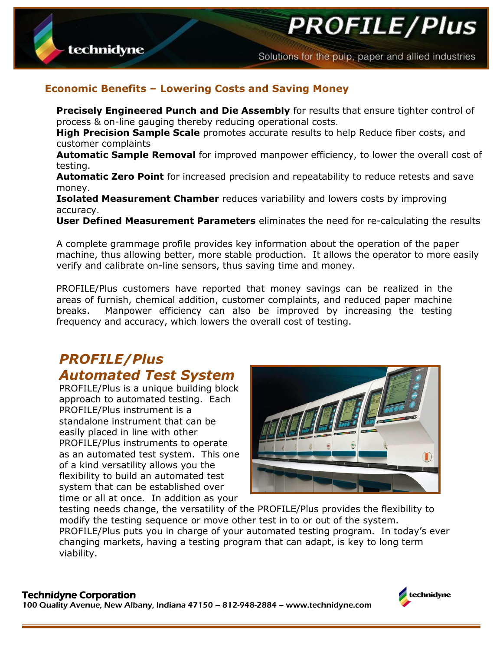**PROFILE/Plus** 

## **Economic Benefits – Lowering Costs and Saving Money**

**Precisely Engineered Punch and Die Assembly** for results that ensure tighter control of process & on-line gauging thereby reducing operational costs.

**High Precision Sample Scale** promotes accurate results to help Reduce fiber costs, and customer complaints

**Automatic Sample Removal** for improved manpower efficiency, to lower the overall cost of testing.

**Automatic Zero Point** for increased precision and repeatability to reduce retests and save money.

**Isolated Measurement Chamber** reduces variability and lowers costs by improving accuracy.

**User Defined Measurement Parameters** eliminates the need for re-calculating the results

A complete grammage profile provides key information about the operation of the paper machine, thus allowing better, more stable production. It allows the operator to more easily verify and calibrate on-line sensors, thus saving time and money.

PROFILE/Plus customers have reported that money savings can be realized in the areas of furnish, chemical addition, customer complaints, and reduced paper machine breaks. Manpower efficiency can also be improved by increasing the testing frequency and accuracy, which lowers the overall cost of testing.

# *PROFILE/Plus Automated Test System*

PROFILE/Plus is a unique building block approach to automated testing. Each PROFILE/Plus instrument is a standalone instrument that can be easily placed in line with other PROFILE/Plus instruments to operate as an automated test system. This one of a kind versatility allows you the flexibility to build an automated test system that can be established over time or all at once. In addition as your



testing needs change, the versatility of the PROFILE/Plus provides the flexibility to modify the testing sequence or move other test in to or out of the system. PROFILE/Plus puts you in charge of your automated testing program. In today's ever changing markets, having a testing program that can adapt, is key to long term viability.